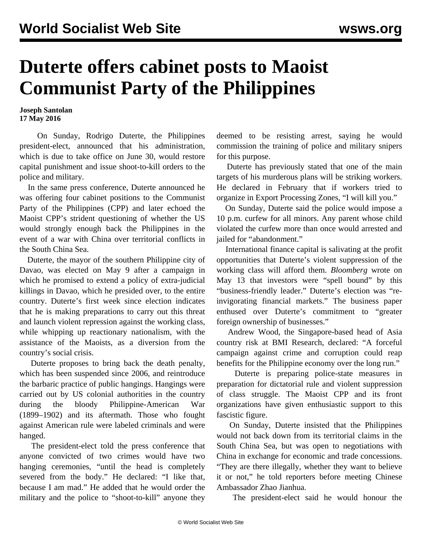## **Duterte offers cabinet posts to Maoist Communist Party of the Philippines**

**Joseph Santolan 17 May 2016**

 On Sunday, Rodrigo Duterte, the Philippines president-elect, announced that his administration, which is due to take office on June 30, would restore capital punishment and issue shoot-to-kill orders to the police and military.

 In the same press conference, Duterte announced he was offering four cabinet positions to the Communist Party of the Philippines (CPP) and later echoed the Maoist CPP's strident questioning of whether the US would strongly enough back the Philippines in the event of a war with China over territorial conflicts in the South China Sea.

 Duterte, the mayor of the southern Philippine city of Davao, was elected on May 9 after a campaign in which he promised to extend a policy of extra-judicial killings in Davao, which he presided over, to the entire country. Duterte's first week since election indicates that he is making preparations to carry out this threat and launch violent repression against the working class, while whipping up reactionary nationalism, with the assistance of the Maoists, as a diversion from the country's social crisis.

 Duterte proposes to bring back the death penalty, which has been suspended since 2006, and reintroduce the barbaric practice of public hangings. Hangings were carried out by US colonial authorities in the country during the bloody Philippine-American War (1899–1902) and its aftermath. Those who fought against American rule were labeled criminals and were hanged.

 The president-elect told the press conference that anyone convicted of two crimes would have two hanging ceremonies, "until the head is completely severed from the body." He declared: "I like that, because I am mad." He added that he would order the military and the police to "shoot-to-kill" anyone they

deemed to be resisting arrest, saying he would commission the training of police and military snipers for this purpose.

 Duterte has previously stated that one of the main targets of his murderous plans will be striking workers. He declared in February that if workers tried to organize in Export Processing Zones, "I will kill you."

 On Sunday, Duterte said the police would impose a 10 p.m. curfew for all minors. Any parent whose child violated the curfew more than once would arrested and jailed for "abandonment."

 International finance capital is salivating at the profit opportunities that Duterte's violent suppression of the working class will afford them. *Bloomberg* wrote on May 13 that investors were "spell bound" by this "business-friendly leader." Duterte's election was "reinvigorating financial markets." The business paper enthused over Duterte's commitment to "greater foreign ownership of businesses."

 Andrew Wood, the Singapore-based head of Asia country risk at BMI Research, declared: "A forceful campaign against crime and corruption could reap benefits for the Philippine economy over the long run."

 Duterte is preparing police-state measures in preparation for dictatorial rule and violent suppression of class struggle. The Maoist CPP and its front organizations have given enthusiastic support to this fascistic figure.

 On Sunday, Duterte insisted that the Philippines would not back down from its territorial claims in the South China Sea, but was open to negotiations with China in exchange for economic and trade concessions. "They are there illegally, whether they want to believe it or not," he told reporters before meeting Chinese Ambassador Zhao Jianhua.

The president-elect said he would honour the